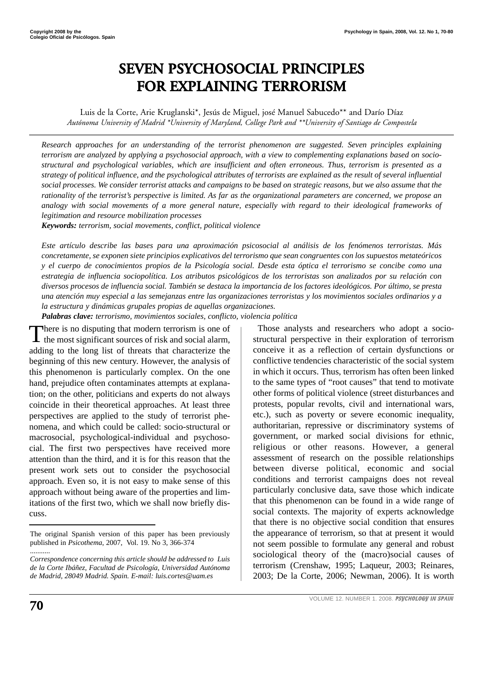# **SEVEN PSYCHOSOCIAL PRINCIPLES FOR EXPLAINING TERRORISM**

Luis de la Corte, Arie Kruglanski\*, Jesús de Miguel, josé Manuel Sabucedo\*\* and Darío Díaz *Autónoma University of Madrid \*University of Maryland, College Park and \*\*University of Santiago de Compostela*

*Research approaches for an understanding of the terrorist phenomenon are suggested. Seven principles explaining terrorism are analyzed by applying a psychosocial approach, with a view to complementing explanations based on sociostructural and psychological variables, which are insufficient and often erroneous. Thus, terrorism is presented as a strategy of political influence, and the psychological attributes of terrorists are explained as the result of several influential social processes. We consider terrorist attacks and campaigns to be based on strategic reasons, but we also assume that the rationality of the terrorist's perspective is limited. As far as the organizational parameters are concerned, we propose an analogy with social movements of a more general nature, especially with regard to their ideological frameworks of legitimation and resource mobilization processes*

*Keywords: terrorism, social movements, conflict, political violence*

*Este artículo describe las bases para una aproximación psicosocial al análisis de los fenómenos terroristas. Más concretamente, se exponen siete principios explicativos del terrorismo que sean congruentes con los supuestos metateóricos y el cuerpo de conocimientos propios de la Psicología social. Desde esta óptica el terrorismo se concibe como una estrategia de influencia sociopolítica. Los atributos psicológicos de los terroristas son analizados por su relación con diversos procesos de influencia social. También se destaca la importancia de los factores ideológicos. Por último, se presta una atención muy especial a las semejanzas entre las organizaciones terroristas y los movimientos sociales ordinarios y a la estructura y dinámicas grupales propias de aquellas organizaciones.*

*Palabras clave: terrorismo, movimientos sociales, conflicto, violencia política* 

There is no disputing that modern terrorism is one of the most significant sources of risk and social alarm, adding to the long list of threats that characterize the beginning of this new century. However, the analysis of this phenomenon is particularly complex. On the one hand, prejudice often contaminates attempts at explanation; on the other, politicians and experts do not always coincide in their theoretical approaches. At least three perspectives are applied to the study of terrorist phenomena, and which could be called: socio-structural or macrosocial, psychological-individual and psychosocial. The first two perspectives have received more attention than the third, and it is for this reason that the present work sets out to consider the psychosocial approach. Even so, it is not easy to make sense of this approach without being aware of the properties and limitations of the first two, which we shall now briefly discuss.

Those analysts and researchers who adopt a sociostructural perspective in their exploration of terrorism conceive it as a reflection of certain dysfunctions or conflictive tendencies characteristic of the social system in which it occurs. Thus, terrorism has often been linked to the same types of "root causes" that tend to motivate other forms of political violence (street disturbances and protests, popular revolts, civil and international wars, etc.), such as poverty or severe economic inequality, authoritarian, repressive or discriminatory systems of government, or marked social divisions for ethnic, religious or other reasons. However, a general assessment of research on the possible relationships between diverse political, economic and social conditions and terrorist campaigns does not reveal particularly conclusive data, save those which indicate that this phenomenon can be found in a wide range of social contexts. The majority of experts acknowledge that there is no objective social condition that ensures the appearance of terrorism, so that at present it would not seem possible to formulate any general and robust sociological theory of the (macro)social causes of terrorism (Crenshaw, 1995; Laqueur, 2003; Reinares, 2003; De la Corte, 2006; Newman, 2006). It is worth

The original Spanish version of this paper has been previously published in *Psicothema*, 2007, Vol. 19. No 3, 366-374

<sup>...........</sup> *Correspondence concerning this article should be addressed to Luis de la Corte Ibáñez, Facultad de Psicología, Universidad Autónoma de Madrid, 28049 Madrid. Spain. E-mail: luis.cortes@uam.es*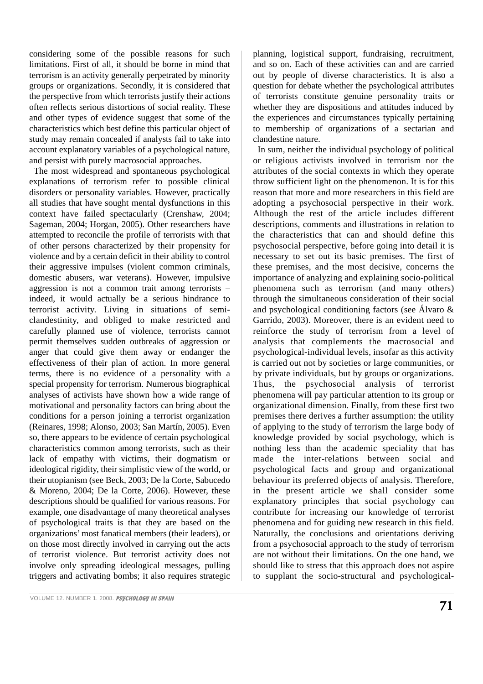considering some of the possible reasons for such limitations. First of all, it should be borne in mind that terrorism is an activity generally perpetrated by minority groups or organizations. Secondly, it is considered that the perspective from which terrorists justify their actions often reflects serious distortions of social reality. These and other types of evidence suggest that some of the characteristics which best define this particular object of study may remain concealed if analysts fail to take into account explanatory variables of a psychological nature, and persist with purely macrosocial approaches.

The most widespread and spontaneous psychological explanations of terrorism refer to possible clinical disorders or personality variables. However, practically all studies that have sought mental dysfunctions in this context have failed spectacularly (Crenshaw, 2004; Sageman, 2004; Horgan, 2005). Other researchers have attempted to reconcile the profile of terrorists with that of other persons characterized by their propensity for violence and by a certain deficit in their ability to control their aggressive impulses (violent common criminals, domestic abusers, war veterans). However, impulsive aggression is not a common trait among terrorists – indeed, it would actually be a serious hindrance to terrorist activity. Living in situations of semiclandestinity, and obliged to make restricted and carefully planned use of violence, terrorists cannot permit themselves sudden outbreaks of aggression or anger that could give them away or endanger the effectiveness of their plan of action. In more general terms, there is no evidence of a personality with a special propensity for terrorism. Numerous biographical analyses of activists have shown how a wide range of motivational and personality factors can bring about the conditions for a person joining a terrorist organization (Reinares, 1998; Alonso, 2003; San Martín, 2005). Even so, there appears to be evidence of certain psychological characteristics common among terrorists, such as their lack of empathy with victims, their dogmatism or ideological rigidity, their simplistic view of the world, or their utopianism (see Beck, 2003; De la Corte, Sabucedo & Moreno, 2004; De la Corte, 2006). However, these descriptions should be qualified for various reasons. For example, one disadvantage of many theoretical analyses of psychological traits is that they are based on the organizations' most fanatical members (their leaders), or on those most directly involved in carrying out the acts of terrorist violence. But terrorist activity does not involve only spreading ideological messages, pulling triggers and activating bombs; it also requires strategic planning, logistical support, fundraising, recruitment, and so on. Each of these activities can and are carried out by people of diverse characteristics. It is also a question for debate whether the psychological attributes of terrorists constitute genuine personality traits or whether they are dispositions and attitudes induced by the experiences and circumstances typically pertaining to membership of organizations of a sectarian and clandestine nature.

In sum, neither the individual psychology of political or religious activists involved in terrorism nor the attributes of the social contexts in which they operate throw sufficient light on the phenomenon. It is for this reason that more and more researchers in this field are adopting a psychosocial perspective in their work. Although the rest of the article includes different descriptions, comments and illustrations in relation to the characteristics that can and should define this psychosocial perspective, before going into detail it is necessary to set out its basic premises. The first of these premises, and the most decisive, concerns the importance of analyzing and explaining socio-political phenomena such as terrorism (and many others) through the simultaneous consideration of their social and psychological conditioning factors (see Álvaro & Garrido, 2003). Moreover, there is an evident need to reinforce the study of terrorism from a level of analysis that complements the macrosocial and psychological-individual levels, insofar as this activity is carried out not by societies or large communities, or by private individuals, but by groups or organizations. Thus, the psychosocial analysis of terrorist phenomena will pay particular attention to its group or organizational dimension. Finally, from these first two premises there derives a further assumption: the utility of applying to the study of terrorism the large body of knowledge provided by social psychology, which is nothing less than the academic speciality that has made the inter-relations between social and psychological facts and group and organizational behaviour its preferred objects of analysis. Therefore, in the present article we shall consider some explanatory principles that social psychology can contribute for increasing our knowledge of terrorist phenomena and for guiding new research in this field. Naturally, the conclusions and orientations deriving from a psychosocial approach to the study of terrorism are not without their limitations. On the one hand, we should like to stress that this approach does not aspire to supplant the socio-structural and psychological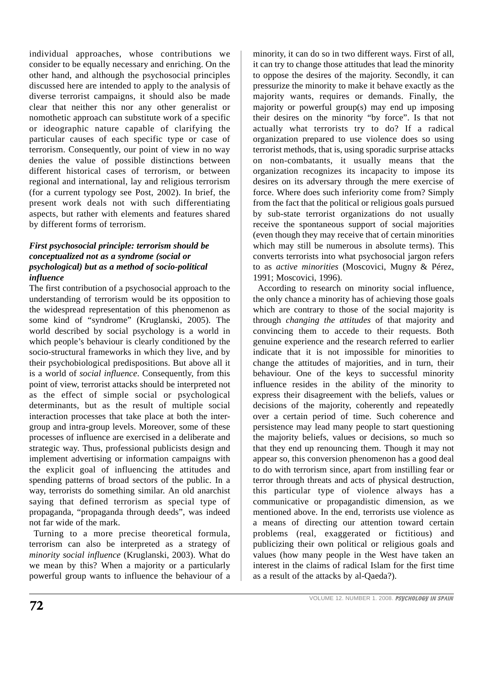individual approaches, whose contributions we consider to be equally necessary and enriching. On the other hand, and although the psychosocial principles discussed here are intended to apply to the analysis of diverse terrorist campaigns, it should also be made clear that neither this nor any other generalist or nomothetic approach can substitute work of a specific or ideographic nature capable of clarifying the particular causes of each specific type or case of terrorism. Consequently, our point of view in no way denies the value of possible distinctions between different historical cases of terrorism, or between regional and international, lay and religious terrorism (for a current typology see Post, 2002). In brief, the present work deals not with such differentiating aspects, but rather with elements and features shared by different forms of terrorism.

## *First psychosocial principle: terrorism should be conceptualized not as a syndrome (social or psychological) but as a method of socio-political influence*

The first contribution of a psychosocial approach to the understanding of terrorism would be its opposition to the widespread representation of this phenomenon as some kind of "syndrome" (Kruglanski, 2005). The world described by social psychology is a world in which people's behaviour is clearly conditioned by the socio-structural frameworks in which they live, and by their psychobiological predispositions. But above all it is a world of *social influence*. Consequently, from this point of view, terrorist attacks should be interpreted not as the effect of simple social or psychological determinants, but as the result of multiple social interaction processes that take place at both the intergroup and intra-group levels. Moreover, some of these processes of influence are exercised in a deliberate and strategic way. Thus, professional publicists design and implement advertising or information campaigns with the explicit goal of influencing the attitudes and spending patterns of broad sectors of the public. In a way, terrorists do something similar. An old anarchist saying that defined terrorism as special type of propaganda, "propaganda through deeds", was indeed not far wide of the mark.

Turning to a more precise theoretical formula, terrorism can also be interpreted as a strategy of *minority social influence* (Kruglanski, 2003). What do we mean by this? When a majority or a particularly powerful group wants to influence the behaviour of a minority, it can do so in two different ways. First of all, it can try to change those attitudes that lead the minority to oppose the desires of the majority. Secondly, it can pressurize the minority to make it behave exactly as the majority wants, requires or demands. Finally, the majority or powerful group(s) may end up imposing their desires on the minority "by force". Is that not actually what terrorists try to do? If a radical organization prepared to use violence does so using terrorist methods, that is, using sporadic surprise attacks on non-combatants, it usually means that the organization recognizes its incapacity to impose its desires on its adversary through the mere exercise of force. Where does such inferiority come from? Simply from the fact that the political or religious goals pursued by sub-state terrorist organizations do not usually receive the spontaneous support of social majorities (even though they may receive that of certain minorities which may still be numerous in absolute terms). This converts terrorists into what psychosocial jargon refers to as *active minorities* (Moscovici, Mugny & Pérez, 1991; Moscovici, 1996).

According to research on minority social influence, the only chance a minority has of achieving those goals which are contrary to those of the social majority is through *changing the attitudes* of that majority and convincing them to accede to their requests. Both genuine experience and the research referred to earlier indicate that it is not impossible for minorities to change the attitudes of majorities, and in turn, their behaviour. One of the keys to successful minority influence resides in the ability of the minority to express their disagreement with the beliefs, values or decisions of the majority, coherently and repeatedly over a certain period of time. Such coherence and persistence may lead many people to start questioning the majority beliefs, values or decisions, so much so that they end up renouncing them. Though it may not appear so, this conversion phenomenon has a good deal to do with terrorism since, apart from instilling fear or terror through threats and acts of physical destruction, this particular type of violence always has a communicative or propagandistic dimension, as we mentioned above. In the end, terrorists use violence as a means of directing our attention toward certain problems (real, exaggerated or fictitious) and publicizing their own political or religious goals and values (how many people in the West have taken an interest in the claims of radical Islam for the first time as a result of the attacks by al-Qaeda?).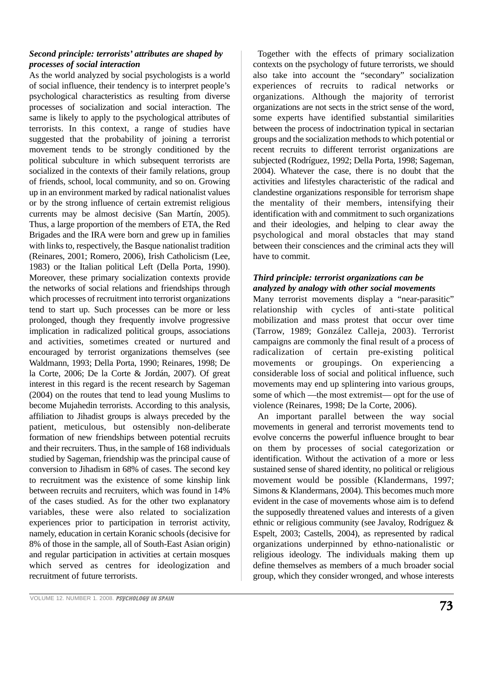## *Second principle: terrorists' attributes are shaped by processes of social interaction*

As the world analyzed by social psychologists is a world of social influence, their tendency is to interpret people's psychological characteristics as resulting from diverse processes of socialization and social interaction. The same is likely to apply to the psychological attributes of terrorists. In this context, a range of studies have suggested that the probability of joining a terrorist movement tends to be strongly conditioned by the political subculture in which subsequent terrorists are socialized in the contexts of their family relations, group of friends, school, local community, and so on. Growing up in an environment marked by radical nationalist values or by the strong influence of certain extremist religious currents may be almost decisive (San Martín, 2005). Thus, a large proportion of the members of ETA, the Red Brigades and the IRA were born and grew up in families with links to, respectively, the Basque nationalist tradition (Reinares, 2001; Romero, 2006), Irish Catholicism (Lee, 1983) or the Italian political Left (Della Porta, 1990). Moreover, these primary socialization contexts provide the networks of social relations and friendships through which processes of recruitment into terrorist organizations tend to start up. Such processes can be more or less prolonged, though they frequently involve progressive implication in radicalized political groups, associations and activities, sometimes created or nurtured and encouraged by terrorist organizations themselves (see Waldmann, 1993; Della Porta, 1990; Reinares, 1998; De la Corte, 2006; De la Corte & Jordán, 2007). Of great interest in this regard is the recent research by Sageman (2004) on the routes that tend to lead young Muslims to become Mujahedin terrorists. According to this analysis, affiliation to Jihadist groups is always preceded by the patient, meticulous, but ostensibly non-deliberate formation of new friendships between potential recruits and their recruiters. Thus, in the sample of 168 individuals studied by Sageman, friendship was the principal cause of conversion to Jihadism in 68% of cases. The second key to recruitment was the existence of some kinship link between recruits and recruiters, which was found in 14% of the cases studied. As for the other two explanatory variables, these were also related to socialization experiences prior to participation in terrorist activity, namely, education in certain Koranic schools (decisive for 8% of those in the sample, all of South-East Asian origin) and regular participation in activities at certain mosques which served as centres for ideologization and recruitment of future terrorists.

Together with the effects of primary socialization contexts on the psychology of future terrorists, we should also take into account the "secondary" socialization experiences of recruits to radical networks or organizations. Although the majority of terrorist organizations are not sects in the strict sense of the word, some experts have identified substantial similarities between the process of indoctrination typical in sectarian groups and the socialization methods to which potential or recent recruits to different terrorist organizations are subjected (Rodríguez, 1992; Della Porta, 1998; Sageman, 2004). Whatever the case, there is no doubt that the activities and lifestyles characteristic of the radical and clandestine organizations responsible for terrorism shape the mentality of their members, intensifying their identification with and commitment to such organizations and their ideologies, and helping to clear away the psychological and moral obstacles that may stand between their consciences and the criminal acts they will have to commit.

## *Third principle: terrorist organizations can be analyzed by analogy with other social movements*

Many terrorist movements display a "near-parasitic" relationship with cycles of anti-state political mobilization and mass protest that occur over time (Tarrow, 1989; González Calleja, 2003). Terrorist campaigns are commonly the final result of a process of radicalization of certain pre-existing political movements or groupings. On experiencing a considerable loss of social and political influence, such movements may end up splintering into various groups, some of which —the most extremist— opt for the use of violence (Reinares, 1998; De la Corte, 2006).

An important parallel between the way social movements in general and terrorist movements tend to evolve concerns the powerful influence brought to bear on them by processes of social categorization or identification. Without the activation of a more or less sustained sense of shared identity, no political or religious movement would be possible (Klandermans, 1997; Simons & Klandermans, 2004). This becomes much more evident in the case of movements whose aim is to defend the supposedly threatened values and interests of a given ethnic or religious community (see Javaloy, Rodríguez & Espelt, 2003; Castells, 2004), as represented by radical organizations underpinned by ethno-nationalistic or religious ideology. The individuals making them up define themselves as members of a much broader social group, which they consider wronged, and whose interests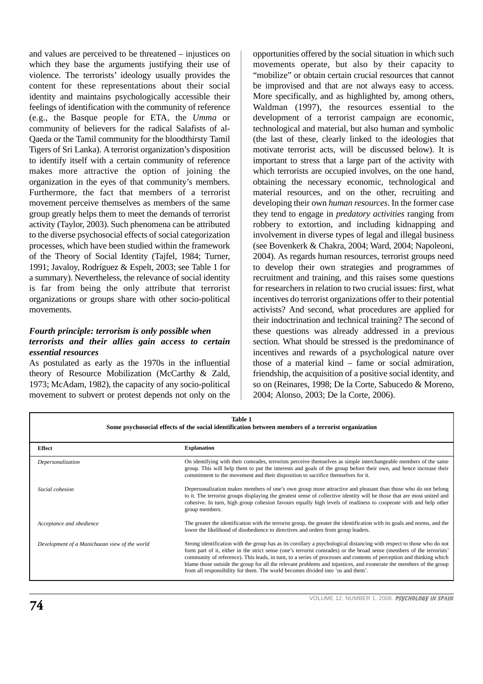and values are perceived to be threatened – injustices on which they base the arguments justifying their use of violence. The terrorists' ideology usually provides the content for these representations about their social identity and maintains psychologically accessible their feelings of identification with the community of reference (e.g., the Basque people for ETA, the *Umma* or community of believers for the radical Salafists of al-Qaeda or the Tamil community for the bloodthirsty Tamil Tigers of Sri Lanka). A terrorist organization's disposition to identify itself with a certain community of reference makes more attractive the option of joining the organization in the eyes of that community's members. Furthermore, the fact that members of a terrorist movement perceive themselves as members of the same group greatly helps them to meet the demands of terrorist activity (Taylor, 2003). Such phenomena can be attributed to the diverse psychosocial effects of social categorization processes, which have been studied within the framework of the Theory of Social Identity (Tajfel, 1984; Turner, 1991; Javaloy, Rodríguez & Espelt, 2003; see Table 1 for a summary). Nevertheless, the relevance of social identity is far from being the only attribute that terrorist organizations or groups share with other socio-political movements.

#### *Fourth principle: terrorism is only possible when terrorists and their allies gain access to certain essential resources*

As postulated as early as the 1970s in the influential theory of Resource Mobilization (McCarthy & Zald, 1973; McAdam, 1982), the capacity of any socio-political movement to subvert or protest depends not only on the opportunities offered by the social situation in which such movements operate, but also by their capacity to "mobilize" or obtain certain crucial resources that cannot be improvised and that are not always easy to access. More specifically, and as highlighted by, among others, Waldman (1997), the resources essential to the development of a terrorist campaign are economic, technological and material, but also human and symbolic (the last of these, clearly linked to the ideologies that motivate terrorist acts, will be discussed below). It is important to stress that a large part of the activity with which terrorists are occupied involves, on the one hand, obtaining the necessary economic, technological and material resources, and on the other, recruiting and developing their own *human resources*. In the former case they tend to engage in *predatory activities* ranging from robbery to extortion, and including kidnapping and involvement in diverse types of legal and illegal business (see Bovenkerk & Chakra, 2004; Ward, 2004; Napoleoni, 2004). As regards human resources, terrorist groups need to develop their own strategies and programmes of recruitment and training, and this raises some questions for researchers in relation to two crucial issues: first, what incentives do terrorist organizations offer to their potential activists? And second, what procedures are applied for their indoctrination and technical training? The second of these questions was already addressed in a previous section. What should be stressed is the predominance of incentives and rewards of a psychological nature over those of a material kind – fame or social admiration, friendship, the acquisition of a positive social identity, and so on (Reinares, 1998; De la Corte, Sabucedo & Moreno, 2004; Alonso, 2003; De la Corte, 2006).

| <b>Table 1</b><br>Some psychosocial effects of the social identification between members of a terrorist organization |                                                                                                                                                                                                                                                                                                                                                                                                                                                                                                                                                                                 |  |
|----------------------------------------------------------------------------------------------------------------------|---------------------------------------------------------------------------------------------------------------------------------------------------------------------------------------------------------------------------------------------------------------------------------------------------------------------------------------------------------------------------------------------------------------------------------------------------------------------------------------------------------------------------------------------------------------------------------|--|
| <b>Effect</b>                                                                                                        | <b>Explanation</b>                                                                                                                                                                                                                                                                                                                                                                                                                                                                                                                                                              |  |
| Depersonalization                                                                                                    | On identifying with their comrades, terrorists perceive themselves as simple interchangeable members of the same<br>group. This will help them to put the interests and goals of the group before their own, and hence increase their<br>commitment to the movement and their disposition to sacrifice themselves for it.                                                                                                                                                                                                                                                       |  |
| Social cohesion                                                                                                      | Depersonalization makes members of one's own group more attractive and pleasant than those who do not belong<br>to it. The terrorist groups displaying the greatest sense of collective identity will be those that are most united and<br>cohesive. In turn, high group cohesion favours equally high levels of readiness to cooperate with and help other<br>group members.                                                                                                                                                                                                   |  |
| Acceptance and obedience                                                                                             | The greater the identification with the terrorist group, the greater the identification with its goals and norms, and the<br>lower the likelihood of disobedience to directives and orders from group leaders.                                                                                                                                                                                                                                                                                                                                                                  |  |
| Development of a Manichaean view of the world                                                                        | Strong identification with the group has as its corollary a psychological distancing with respect to those who do not<br>form part of it, either in the strict sense (one's terrorist comrades) or the broad sense (members of the terrorists'<br>community of reference). This leads, in turn, to a series of processes and contents of perception and thinking which<br>blame those outside the group for all the relevant problems and injustices, and exonerate the members of the group<br>from all responsibility for them. The world becomes divided into 'us and them'. |  |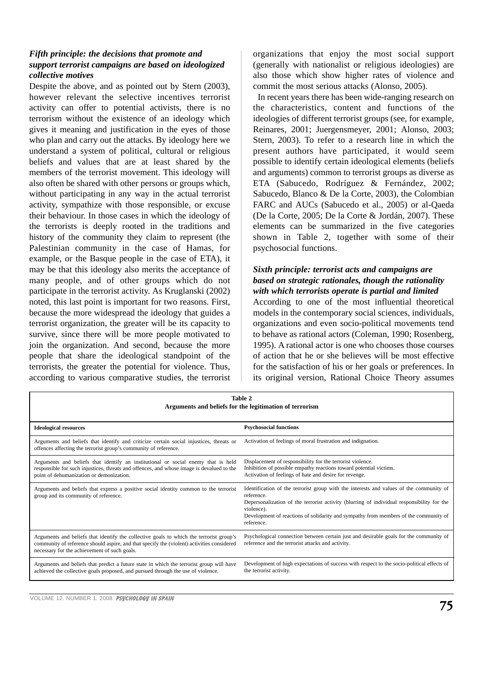## *Fifth principle: the decisions that promote and support terrorist campaigns are based on ideologized collective motives*

Despite the above, and as pointed out by Stern (2003). however relevant the selective incentives terrorist activity can offer to potential activists, there is no terrorism without the existence of an ideology which gives it meaning and justification in the eyes of those who plan and carry out the attacks. By ideology here we understand a system of political, cultural or religious beliefs and values that are at least shared by the members of the terrorist movement. This ideology will also often be shared with other persons or groups which, without participating in any way in the actual terrorist activity, sympathize with those responsible, or excuse their behaviour. In those cases in which the ideology of the terrorists is deeply rooted in the traditions and history of the community they claim to represent (the Palestinian community in the case of Hamas, for example, or the Basque people in the case of ETA), it may be that this ideology also merits the acceptance of many people, and of other groups which do not participate in the terrorist activity. As Kruglanski (2002) noted, this last point is important for two reasons. First, because the more widespread the ideology that guides a terrorist organization, the greater will be its capacity to survive, since there will be more people motivated to join the organization. And second, because the more people that share the ideological standpoint of the terrorists, the greater the potential for violence. Thus, according to various comparative studies, the terrorist organizations that enjoy the most social support (generally with nationalist or religious ideologies) are also those which show higher rates of violence and commit the most serious attacks (Alonso, 2005).

In recent years there has been wide-ranging research on the characteristics, content and functions of the ideologies of different terrorist groups (see, for example, Reinares, 2001; Juergensmeyer, 2001; Alonso, 2003; Stern, 2003). To refer to a research line in which the present authors have participated, it would seem possible to identify certain ideological elements (beliefs and arguments) common to terrorist groups as diverse as ETA (Sabucedo, Rodríguez & Fernández, 2002; Sabucedo, Blanco & De la Corte, 2003), the Colombian FARC and AUCs (Sabucedo et al., 2005) or al-Qaeda (De la Corte, 2005; De la Corte & Jordán, 2007). These elements can be summarized in the five categories shown in Table 2, together with some of their psychosocial functions.

### *Sixth principle: terrorist acts and campaigns are based on strategic rationales, though the rationality with which terrorists operate is partial and limited*

According to one of the most influential theoretical models in the contemporary social sciences, individuals, organizations and even socio-political movements tend to behave as rational actors (Coleman, 1990; Rosenberg, 1995). A rational actor is one who chooses those courses of action that he or she believes will be most effective for the satisfaction of his or her goals or preferences. In its original version, Rational Choice Theory assumes

| Table 2<br>Arguments and beliefs for the legitimation of terrorism                                                                                                                                                                    |                                                                                                                                                                                                                                                                                                                         |  |
|---------------------------------------------------------------------------------------------------------------------------------------------------------------------------------------------------------------------------------------|-------------------------------------------------------------------------------------------------------------------------------------------------------------------------------------------------------------------------------------------------------------------------------------------------------------------------|--|
| <b>Ideological resources</b>                                                                                                                                                                                                          | <b>Psychosocial functions</b>                                                                                                                                                                                                                                                                                           |  |
| Arguments and beliefs that identify and criticize certain social injustices, threats or<br>offences affecting the terrorist group's community of reference.                                                                           | Activation of feelings of moral frustration and indignation.                                                                                                                                                                                                                                                            |  |
| Arguments and beliefs that identify an institutional or social enemy that is held<br>responsible for such injustices, threats and offences, and whose image is devalued to the<br>point of dehumanization or demonization.            | Displacement of responsibility for the terrorist violence.<br>Inhibition of possible empathy reactions toward potential victims.<br>Activation of feelings of hate and desire for revenge.                                                                                                                              |  |
| Arguments and beliefs that express a positive social identity common to the terrorist<br>group and its community of reference.                                                                                                        | Identification of the terrorist group with the interests and values of the community of<br>reference.<br>Depersonalization of the terrorist activity (blurring of individual responsibility for the<br>violence).<br>Development of reactions of solidarity and sympathy from members of the community of<br>reference. |  |
| Arguments and beliefs that identify the collective goals to which the terrorist group's<br>community of reference should aspire, and that specify the (violent) activities considered<br>necessary for the achievement of such goals. | Psychological connection between certain just and desirable goals for the community of<br>reference and the terrorist attacks and activity.                                                                                                                                                                             |  |
| Arguments and beliefs that predict a future state in which the terrorist group will have<br>achieved the collective goals proposed, and pursued through the use of violence.                                                          | Development of high expectations of success with respect to the socio-political effects of<br>the terrorist activity.                                                                                                                                                                                                   |  |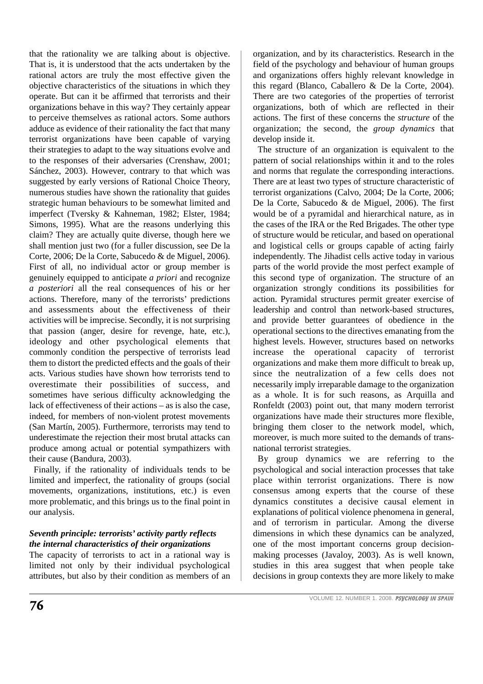that the rationality we are talking about is objective. That is, it is understood that the acts undertaken by the rational actors are truly the most effective given the objective characteristics of the situations in which they operate. But can it be affirmed that terrorists and their organizations behave in this way? They certainly appear to perceive themselves as rational actors. Some authors adduce as evidence of their rationality the fact that many terrorist organizations have been capable of varying their strategies to adapt to the way situations evolve and to the responses of their adversaries (Crenshaw, 2001; Sánchez, 2003). However, contrary to that which was suggested by early versions of Rational Choice Theory, numerous studies have shown the rationality that guides strategic human behaviours to be somewhat limited and imperfect (Tversky & Kahneman, 1982; Elster, 1984; Simons, 1995). What are the reasons underlying this claim? They are actually quite diverse, though here we shall mention just two (for a fuller discussion, see De la Corte, 2006; De la Corte, Sabucedo & de Miguel, 2006). First of all, no individual actor or group member is genuinely equipped to anticipate *a priori* and recognize *a posteriori* all the real consequences of his or her actions. Therefore, many of the terrorists' predictions and assessments about the effectiveness of their activities will be imprecise. Secondly, it is not surprising that passion (anger, desire for revenge, hate, etc.), ideology and other psychological elements that commonly condition the perspective of terrorists lead them to distort the predicted effects and the goals of their acts. Various studies have shown how terrorists tend to overestimate their possibilities of success, and sometimes have serious difficulty acknowledging the lack of effectiveness of their actions – as is also the case, indeed, for members of non-violent protest movements (San Martín, 2005). Furthermore, terrorists may tend to underestimate the rejection their most brutal attacks can produce among actual or potential sympathizers with their cause (Bandura, 2003).

Finally, if the rationality of individuals tends to be limited and imperfect, the rationality of groups (social movements, organizations, institutions, etc.) is even more problematic, and this brings us to the final point in our analysis.

# *Seventh principle: terrorists' activity partly reflects the internal characteristics of their organizations*

The capacity of terrorists to act in a rational way is limited not only by their individual psychological attributes, but also by their condition as members of an organization, and by its characteristics. Research in the field of the psychology and behaviour of human groups and organizations offers highly relevant knowledge in this regard (Blanco, Caballero & De la Corte, 2004). There are two categories of the properties of terrorist organizations, both of which are reflected in their actions. The first of these concerns the *structure* of the organization; the second, the *group dynamics* that develop inside it.

The structure of an organization is equivalent to the pattern of social relationships within it and to the roles and norms that regulate the corresponding interactions. There are at least two types of structure characteristic of terrorist organizations (Calvo, 2004; De la Corte, 2006; De la Corte, Sabucedo & de Miguel, 2006). The first would be of a pyramidal and hierarchical nature, as in the cases of the IRA or the Red Brigades. The other type of structure would be reticular, and based on operational and logistical cells or groups capable of acting fairly independently. The Jihadist cells active today in various parts of the world provide the most perfect example of this second type of organization. The structure of an organization strongly conditions its possibilities for action. Pyramidal structures permit greater exercise of leadership and control than network-based structures, and provide better guarantees of obedience in the operational sections to the directives emanating from the highest levels. However, structures based on networks increase the operational capacity of terrorist organizations and make them more difficult to break up, since the neutralization of a few cells does not necessarily imply irreparable damage to the organization as a whole. It is for such reasons, as Arquilla and Ronfeldt (2003) point out, that many modern terrorist organizations have made their structures more flexible, bringing them closer to the network model, which, moreover, is much more suited to the demands of transnational terrorist strategies.

By group dynamics we are referring to the psychological and social interaction processes that take place within terrorist organizations. There is now consensus among experts that the course of these dynamics constitutes a decisive causal element in explanations of political violence phenomena in general, and of terrorism in particular. Among the diverse dimensions in which these dynamics can be analyzed, one of the most important concerns group decisionmaking processes (Javaloy, 2003). As is well known, studies in this area suggest that when people take decisions in group contexts they are more likely to make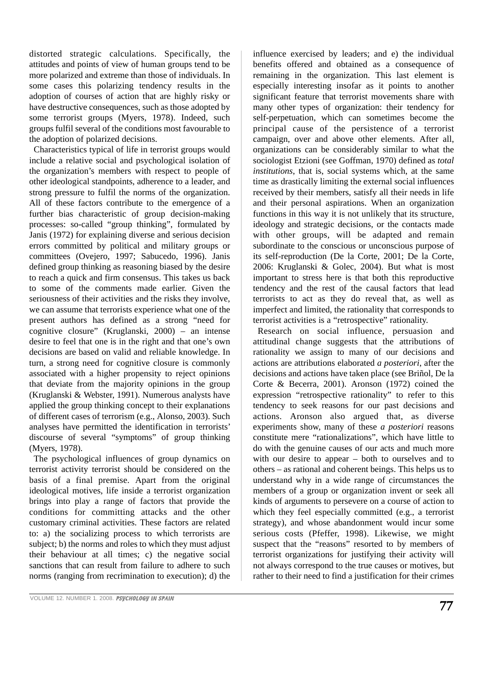distorted strategic calculations. Specifically, the attitudes and points of view of human groups tend to be more polarized and extreme than those of individuals. In some cases this polarizing tendency results in the adoption of courses of action that are highly risky or have destructive consequences, such as those adopted by some terrorist groups (Myers, 1978). Indeed, such groups fulfil several of the conditions most favourable to the adoption of polarized decisions.

Characteristics typical of life in terrorist groups would include a relative social and psychological isolation of the organization's members with respect to people of other ideological standpoints, adherence to a leader, and strong pressure to fulfil the norms of the organization. All of these factors contribute to the emergence of a further bias characteristic of group decision-making processes: so-called "group thinking", formulated by Janis (1972) for explaining diverse and serious decision errors committed by political and military groups or committees (Ovejero, 1997; Sabucedo, 1996). Janis defined group thinking as reasoning biased by the desire to reach a quick and firm consensus. This takes us back to some of the comments made earlier. Given the seriousness of their activities and the risks they involve, we can assume that terrorists experience what one of the present authors has defined as a strong "need for cognitive closure" (Kruglanski, 2000) – an intense desire to feel that one is in the right and that one's own decisions are based on valid and reliable knowledge. In turn, a strong need for cognitive closure is commonly associated with a higher propensity to reject opinions that deviate from the majority opinions in the group (Kruglanski & Webster, 1991). Numerous analysts have applied the group thinking concept to their explanations of different cases of terrorism (e.g., Alonso, 2003). Such analyses have permitted the identification in terrorists' discourse of several "symptoms" of group thinking (Myers, 1978).

The psychological influences of group dynamics on terrorist activity terrorist should be considered on the basis of a final premise. Apart from the original ideological motives, life inside a terrorist organization brings into play a range of factors that provide the conditions for committing attacks and the other customary criminal activities. These factors are related to: a) the socializing process to which terrorists are subject; b) the norms and roles to which they must adjust their behaviour at all times; c) the negative social sanctions that can result from failure to adhere to such norms (ranging from recrimination to execution); d) the influence exercised by leaders; and e) the individual benefits offered and obtained as a consequence of remaining in the organization. This last element is especially interesting insofar as it points to another significant feature that terrorist movements share with many other types of organization: their tendency for self-perpetuation, which can sometimes become the principal cause of the persistence of a terrorist campaign, over and above other elements. After all, organizations can be considerably similar to what the sociologist Etzioni (see Goffman, 1970) defined as *total institutions*, that is, social systems which, at the same time as drastically limiting the external social influences received by their members, satisfy all their needs in life and their personal aspirations. When an organization functions in this way it is not unlikely that its structure, ideology and strategic decisions, or the contacts made with other groups, will be adapted and remain subordinate to the conscious or unconscious purpose of its self-reproduction (De la Corte, 2001; De la Corte, 2006: Kruglanski & Golec, 2004). But what is most important to stress here is that both this reproductive tendency and the rest of the causal factors that lead terrorists to act as they do reveal that, as well as imperfect and limited, the rationality that corresponds to terrorist activities is a "retrospective" rationality.

Research on social influence, persuasion and attitudinal change suggests that the attributions of rationality we assign to many of our decisions and actions are attributions elaborated *a posteriori*, after the decisions and actions have taken place (see Briñol, De la Corte & Becerra, 2001). Aronson (1972) coined the expression "retrospective rationality" to refer to this tendency to seek reasons for our past decisions and actions. Aronson also argued that, as diverse experiments show, many of these *a posteriori* reasons constitute mere "rationalizations", which have little to do with the genuine causes of our acts and much more with our desire to appear – both to ourselves and to others – as rational and coherent beings. This helps us to understand why in a wide range of circumstances the members of a group or organization invent or seek all kinds of arguments to persevere on a course of action to which they feel especially committed (e.g., a terrorist strategy), and whose abandonment would incur some serious costs (Pfeffer, 1998). Likewise, we might suspect that the "reasons" resorted to by members of terrorist organizations for justifying their activity will not always correspond to the true causes or motives, but rather to their need to find a justification for their crimes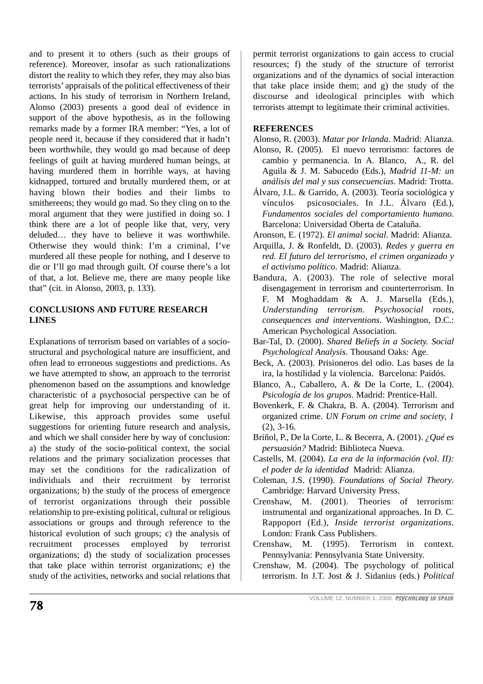and to present it to others (such as their groups of reference). Moreover, insofar as such rationalizations distort the reality to which they refer, they may also bias terrorists' appraisals of the political effectiveness of their actions. In his study of terrorism in Northern Ireland, Alonso (2003) presents a good deal of evidence in support of the above hypothesis, as in the following remarks made by a former IRA member: "Yes, a lot of people need it, because if they considered that it hadn't been worthwhile, they would go mad because of deep feelings of guilt at having murdered human beings, at having murdered them in horrible ways, at having kidnapped, tortured and brutally murdered them, or at having blown their bodies and their limbs to smithereens; they would go mad. So they cling on to the moral argument that they were justified in doing so. I think there are a lot of people like that, very, very deluded… they have to believe it was worthwhile. Otherwise they would think: I'm a criminal, I've murdered all these people for nothing, and I deserve to die or I'll go mad through guilt. Of course there's a lot of that, a lot. Believe me, there are many people like that" (cit. in Alonso, 2003, p. 133).

### **CONCLUSIONS AND FUTURE RESEARCH LINES**

Explanations of terrorism based on variables of a sociostructural and psychological nature are insufficient, and often lead to erroneous suggestions and predictions. As we have attempted to show, an approach to the terrorist phenomenon based on the assumptions and knowledge characteristic of a psychosocial perspective can be of great help for improving our understanding of it. Likewise, this approach provides some useful suggestions for orienting future research and analysis, and which we shall consider here by way of conclusion: a) the study of the socio-political context, the social relations and the primary socialization processes that may set the conditions for the radicalization of individuals and their recruitment by terrorist organizations; b) the study of the process of emergence of terrorist organizations through their possible relationship to pre-existing political, cultural or religious associations or groups and through reference to the historical evolution of such groups; c) the analysis of recruitment processes employed by terrorist organizations; d) the study of socialization processes that take place within terrorist organizations; e) the study of the activities, networks and social relations that permit terrorist organizations to gain access to crucial resources; f) the study of the structure of terrorist organizations and of the dynamics of social interaction that take place inside them; and g) the study of the discourse and ideological principles with which terrorists attempt to legitimate their criminal activities.

#### **REFERENCES**

- Alonso, R. (2003). *Matar por Irlanda*. Madrid: Alianza. Alonso, R. (2005). El nuevo terrorismo: factores de cambio y permanencia. In A. Blanco, A., R. del Aguila & J. M. Sabucedo (Eds.), *Madrid 11-M: un análisis del mal y sus consecuencias*. Madrid: Trotta.
- Álvaro, J.L. & Garrido, A. (2003). Teoría sociológica y vínculos psicosociales. In J.L. Álvaro (Ed.), *Fundamentos sociales del comportamiento humano*. Barcelona: Universidad Oberta de Cataluña.
- Aronson, E. (1972). *El animal social*. Madrid: Alianza.
- Arquilla, J. & Ronfeldt, D. (2003). *Redes y guerra en red. El futuro del terrorismo, el crimen organizado y el activismo político*. Madrid: Alianza.
- Bandura, A. (2003). The role of selective moral disengagement in terrorism and counterterrorism. In F. M Moghaddam & A. J. Marsella (Eds.), *Understanding terrorism. Psychosocial roots, consequences and interventions*. Washington, D.C.: American Psychological Association.
- Bar-Tal, D. (2000). *Shared Beliefs in a Society. Social Psychological Analysis.* Thousand Oaks: Age.
- Beck, A. (2003). Prisioneros del odio. Las bases de la ira, la hostilidad y la violencia. Barcelona: Paidós.
- Blanco, A., Caballero, A. & De la Corte, L. (2004). *Psicología de los grupos*. Madrid: Prentice-Hall.
- Bovenkerk, F. & Chakra, B. A. (2004). Terrorism and organized crime. *UN Forum on crime and society, 1* (2), 3-16.
- Briñol, P., De la Corte, L. & Becerra, A. (2001). *¿Qué es persuasión?* Madrid: Biblioteca Nueva.
- Castells, M. (2004). *La era de la información (vol. II): el poder de la identidad* Madrid: Alianza.
- Coleman, J.S. (1990). *Foundations of Social Theory*. Cambridge: Harvard University Press.
- Crenshaw, M. (2001). Theories of terrorism: instrumental and organizational approaches. In D. C. Rappoport (Ed.), *Inside terrorist organizations*. London: Frank Cass Publishers.
- Crenshaw, M. (1995). Terrorism in context. Pennsylvania: Pennsylvania State University.
- Crenshaw, M. (2004). The psychology of political terrorism. In J.T. Jost & J. Sidanius (eds.) *Political*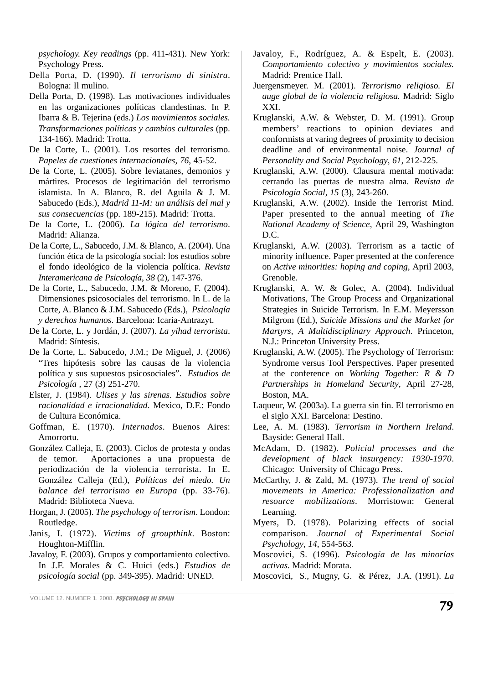*psychology. Key readings* (pp. 411-431). New York: Psychology Press.

- Della Porta, D. (1990). *Il terrorismo di sinistra*. Bologna: Il mulino.
- Della Porta, D. (1998). Las motivaciones individuales en las organizaciones políticas clandestinas. In P. Ibarra & B. Tejerina (eds.) *Los movimientos sociales. Transformaciones políticas y cambios culturales* (pp. 134-166). Madrid: Trotta.
- De la Corte, L. (2001). Los resortes del terrorismo. *Papeles de cuestiones internacionales*, *76*, 45-52.
- De la Corte, L. (2005). Sobre leviatanes, demonios y mártires. Procesos de legitimación del terrorismo islamista. In A. Blanco, R. del Aguila & J. M. Sabucedo (Eds.), *Madrid 11-M: un análisis del mal y sus consecuencias* (pp. 189-215)*.* Madrid: Trotta.
- De la Corte, L. (2006). *La lógica del terrorismo*. Madrid: Alianza.
- De la Corte, L., Sabucedo, J.M. & Blanco, A. (2004). Una función ética de la psicología social: los estudios sobre el fondo ideológico de la violencia política. *Revista Interamericana de Psicología*, *38* (2), 147-376.
- De la Corte, L., Sabucedo, J.M. & Moreno, F. (2004). Dimensiones psicosociales del terrorismo. In L. de la Corte, A. Blanco & J.M. Sabucedo (Eds.), *Psicología y derechos humanos*. Barcelona: Icaria-Antrazyt.
- De la Corte, L. y Jordán, J. (2007). *La yihad terrorista*. Madrid: Síntesis.
- De la Corte, L. Sabucedo, J.M.; De Miguel, J. (2006) "Tres hipótesis sobre las causas de la violencia política y sus supuestos psicosociales". *Estudios de Psicología* , 27 (3) 251-270.
- Elster, J. (1984). *Ulises y las sirenas. Estudios sobre racionalidad e irracionalidad*. Mexico, D.F.: Fondo de Cultura Económica.
- Goffman, E. (1970). *Internados*. Buenos Aires: Amorrortu.
- González Calleja, E. (2003). Ciclos de protesta y ondas de temor. Aportaciones a una propuesta de periodización de la violencia terrorista. In E. González Calleja (Ed.), *Políticas del miedo. Un balance del terrorismo en Europa* (pp. 33-76). Madrid: Biblioteca Nueva.
- Horgan, J. (2005). *The psychology of terrorism*. London: Routledge.
- Janis, I. (1972). *Victims of groupthink*. Boston: Houghton-Mifflin.
- Javaloy, F. (2003). Grupos y comportamiento colectivo. In J.F. Morales & C. Huici (eds.) *Estudios de psicología social* (pp. 349-395). Madrid: UNED.
- Javaloy, F., Rodríguez, A. & Espelt, E. (2003). *Comportamiento colectivo y movimientos sociales.* Madrid: Prentice Hall.
- Juergensmeyer. M. (2001). *Terrorismo religioso. El auge global de la violencia religiosa.* Madrid: Siglo XXI.
- Kruglanski, A.W. & Webster, D. M. (1991). Group members' reactions to opinion deviates and conformists at varing degrees of proximity to decision deadline and of environmental noise. *Journal of Personality and Social Psychology*, *61*, 212-225.
- Kruglanski, A.W. (2000). Clausura mental motivada: cerrando las puertas de nuestra alma. *Revista de Psicología Social*, *15* (3), 243-260.
- Kruglanski, A.W. (2002). Inside the Terrorist Mind. Paper presented to the annual meeting of *The National Academy of Science*, April 29, Washington D.C.
- Kruglanski, A.W. (2003). Terrorism as a tactic of minority influence. Paper presented at the conference on *Active minorities: hoping and coping*, April 2003, Grenoble.
- Kruglanski, A. W. & Golec, A. (2004). Individual Motivations, The Group Process and Organizational Strategies in Suicide Terrorism. In E.M. Meyersson Milgrom (Ed.), *Suicide Missions and the Market for Martyrs, A Multidisciplinary Approach*. Princeton, N.J.: Princeton University Press.
- Kruglanski, A.W. (2005). The Psychology of Terrorism: Syndrome versus Tool Perspectives. Paper presented at the conference on *Working Together: R & D Partnerships in Homeland Security*, April 27-28, Boston, MA.
- Laqueur, W. (2003a). La guerra sin fin. El terrorismo en el siglo XXI. Barcelona: Destino.
- Lee, A. M. (1983). *Terrorism in Northern Ireland*. Bayside: General Hall.
- McAdam, D. (1982). *Policial processes and the development of black insurgency: 1930-1970*. Chicago: University of Chicago Press.
- McCarthy, J. & Zald, M. (1973). *The trend of social movements in America: Professionalization and resource mobilizations*. Morristown: General Learning.
- Myers, D. (1978). Polarizing effects of social comparison. *Journal of Experimental Social Psychology*, *14*, 554-563.
- Moscovici, S. (1996). *Psicología de las minorías activas*. Madrid: Morata.
- Moscovici, S., Mugny, G. & Pérez, J.A. (1991). *La*

VOLUME 12. NUMBER 1. 2008. *PSYCHOLOGY IN SPAIN*